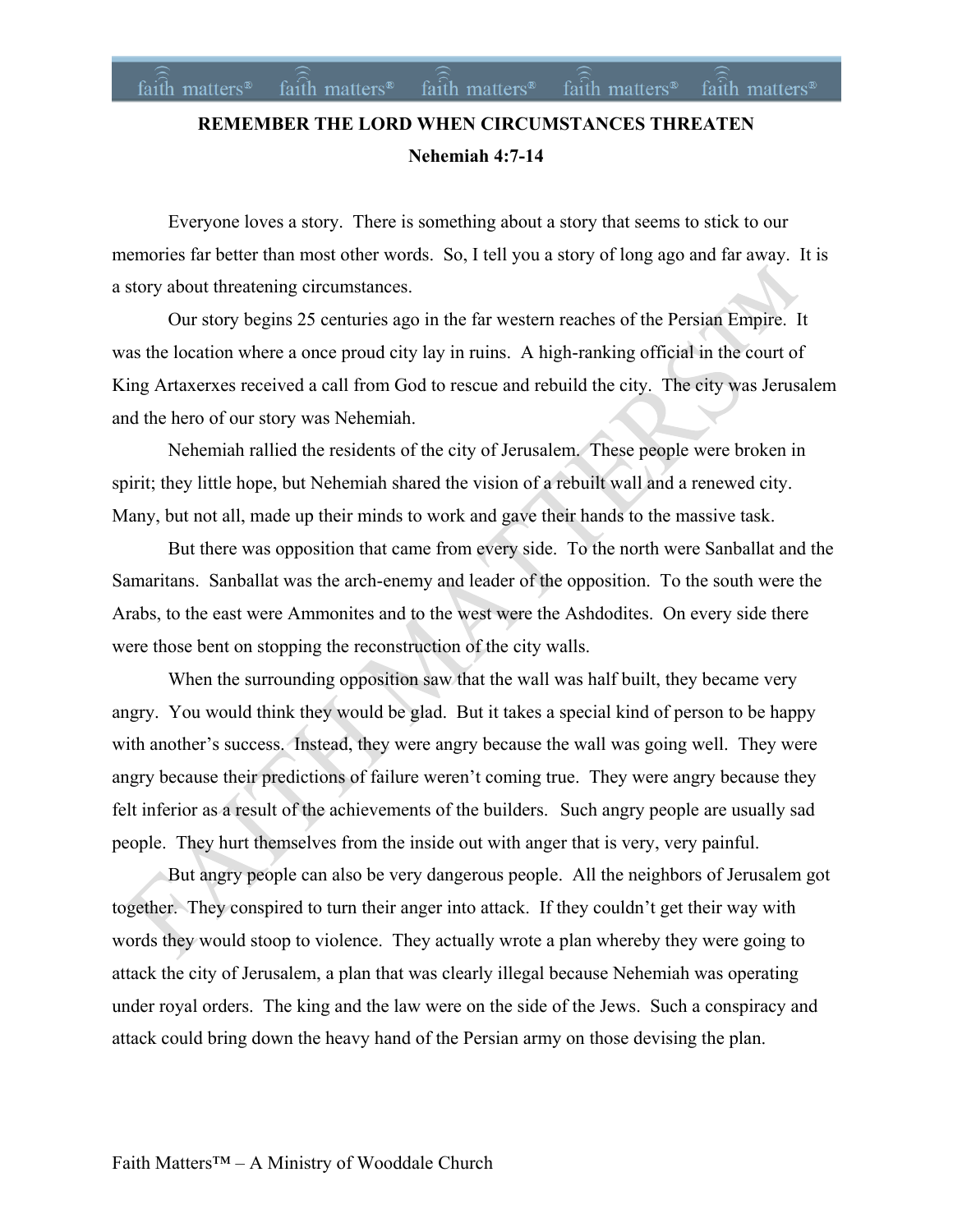## faith matters<sup>®</sup> faith matters<sup>®</sup> faith matters® faith matters® faith matters<sup>®</sup> **REMEMBER THE LORD WHEN CIRCUMSTANCES THREATEN Nehemiah 4:7-14**

Everyone loves a story. There is something about a story that seems to stick to our memories far better than most other words. So, I tell you a story of long ago and far away. It is a story about threatening circumstances.

Our story begins 25 centuries ago in the far western reaches of the Persian Empire. It was the location where a once proud city lay in ruins. A high-ranking official in the court of King Artaxerxes received a call from God to rescue and rebuild the city. The city was Jerusalem and the hero of our story was Nehemiah.

Nehemiah rallied the residents of the city of Jerusalem. These people were broken in spirit; they little hope, but Nehemiah shared the vision of a rebuilt wall and a renewed city. Many, but not all, made up their minds to work and gave their hands to the massive task.

But there was opposition that came from every side. To the north were Sanballat and the Samaritans. Sanballat was the arch-enemy and leader of the opposition. To the south were the Arabs, to the east were Ammonites and to the west were the Ashdodites. On every side there were those bent on stopping the reconstruction of the city walls.

When the surrounding opposition saw that the wall was half built, they became very angry. You would think they would be glad. But it takes a special kind of person to be happy with another's success. Instead, they were angry because the wall was going well. They were angry because their predictions of failure weren't coming true. They were angry because they felt inferior as a result of the achievements of the builders. Such angry people are usually sad people. They hurt themselves from the inside out with anger that is very, very painful.

But angry people can also be very dangerous people. All the neighbors of Jerusalem got together. They conspired to turn their anger into attack. If they couldn't get their way with words they would stoop to violence. They actually wrote a plan whereby they were going to attack the city of Jerusalem, a plan that was clearly illegal because Nehemiah was operating under royal orders. The king and the law were on the side of the Jews. Such a conspiracy and attack could bring down the heavy hand of the Persian army on those devising the plan.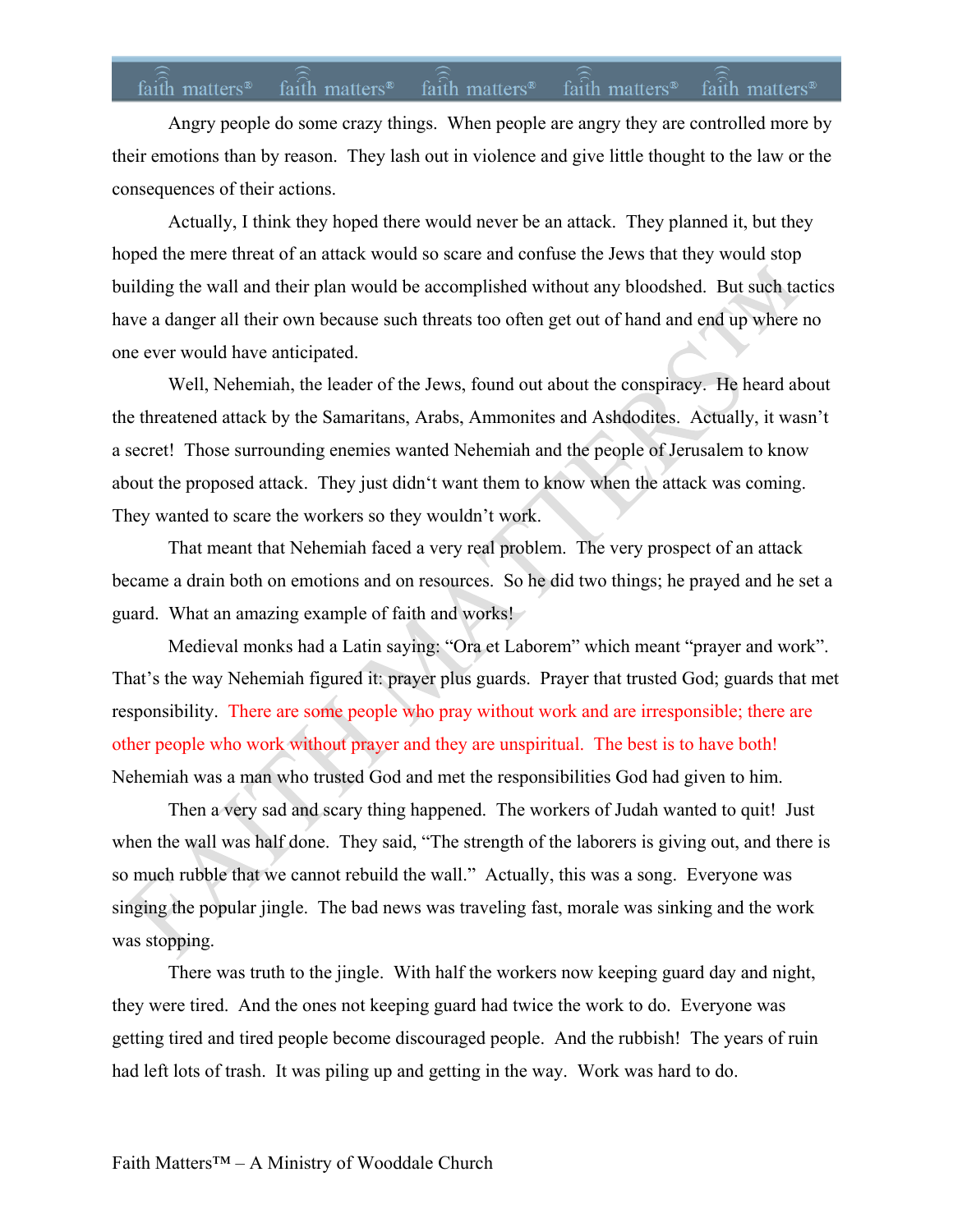## faith matters<sup>®</sup> faith matters<sup>®</sup> faith matters<sup>®</sup> faith matters<sup>®</sup> faith matters<sup>®</sup>

Angry people do some crazy things. When people are angry they are controlled more by their emotions than by reason. They lash out in violence and give little thought to the law or the consequences of their actions.

Actually, I think they hoped there would never be an attack. They planned it, but they hoped the mere threat of an attack would so scare and confuse the Jews that they would stop building the wall and their plan would be accomplished without any bloodshed. But such tactics have a danger all their own because such threats too often get out of hand and end up where no one ever would have anticipated.

Well, Nehemiah, the leader of the Jews, found out about the conspiracy. He heard about the threatened attack by the Samaritans, Arabs, Ammonites and Ashdodites. Actually, it wasn't a secret! Those surrounding enemies wanted Nehemiah and the people of Jerusalem to know about the proposed attack. They just didn't want them to know when the attack was coming. They wanted to scare the workers so they wouldn't work.

That meant that Nehemiah faced a very real problem. The very prospect of an attack became a drain both on emotions and on resources. So he did two things; he prayed and he set a guard. What an amazing example of faith and works!

Medieval monks had a Latin saying: "Ora et Laborem" which meant "prayer and work". That's the way Nehemiah figured it: prayer plus guards. Prayer that trusted God; guards that met responsibility. There are some people who pray without work and are irresponsible; there are other people who work without prayer and they are unspiritual. The best is to have both! Nehemiah was a man who trusted God and met the responsibilities God had given to him.

Then a very sad and scary thing happened. The workers of Judah wanted to quit! Just when the wall was half done. They said, "The strength of the laborers is giving out, and there is so much rubble that we cannot rebuild the wall." Actually, this was a song. Everyone was singing the popular jingle. The bad news was traveling fast, morale was sinking and the work was stopping.

There was truth to the jingle. With half the workers now keeping guard day and night, they were tired. And the ones not keeping guard had twice the work to do. Everyone was getting tired and tired people become discouraged people. And the rubbish! The years of ruin had left lots of trash. It was piling up and getting in the way. Work was hard to do.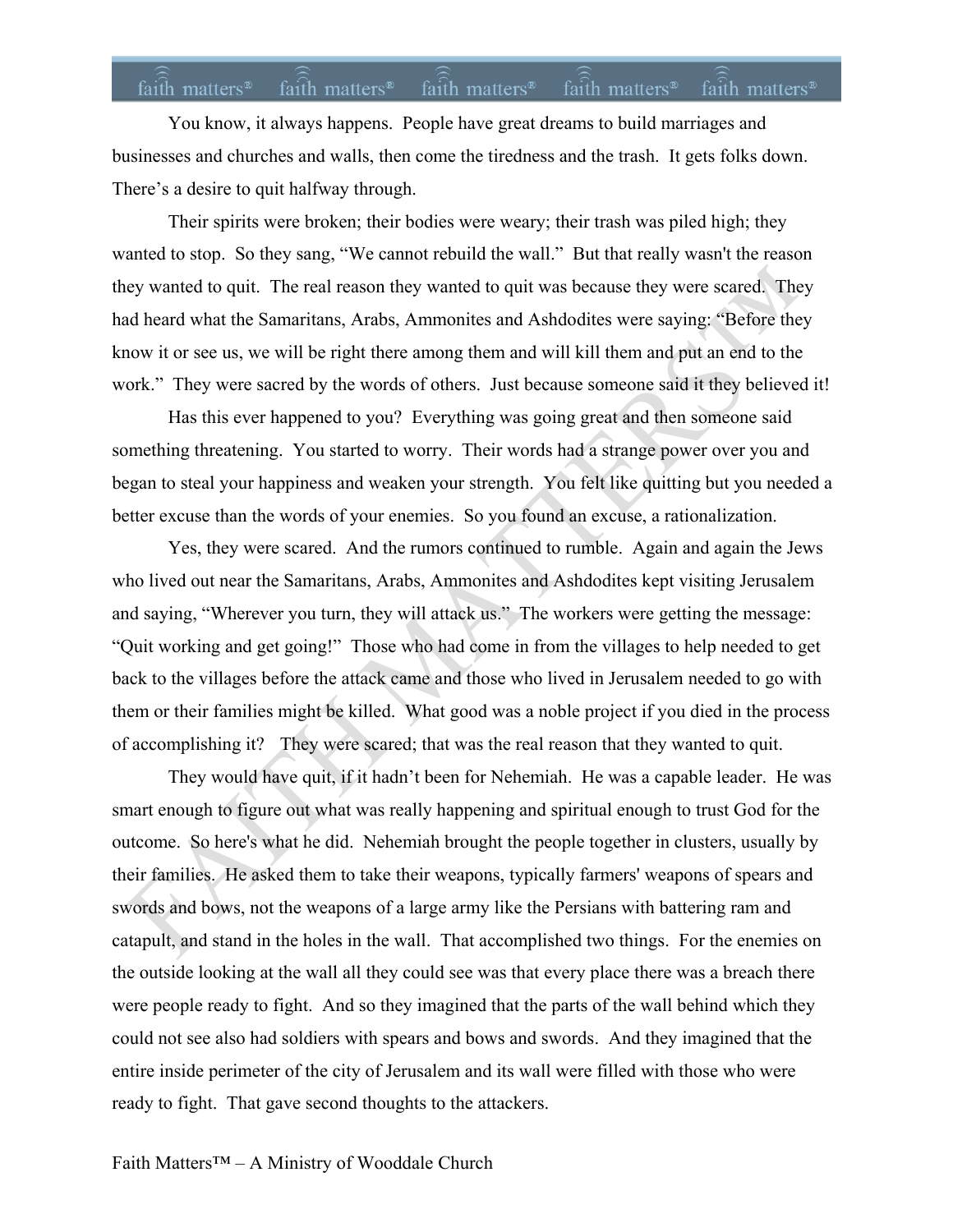## faith matters<sup>®</sup> faith matters<sup>®</sup> faith matters® faith matters® faith matters<sup>®</sup>

You know, it always happens. People have great dreams to build marriages and businesses and churches and walls, then come the tiredness and the trash. It gets folks down. There's a desire to quit halfway through.

Their spirits were broken; their bodies were weary; their trash was piled high; they wanted to stop. So they sang, "We cannot rebuild the wall." But that really wasn't the reason they wanted to quit. The real reason they wanted to quit was because they were scared. They had heard what the Samaritans, Arabs, Ammonites and Ashdodites were saying: "Before they know it or see us, we will be right there among them and will kill them and put an end to the work." They were sacred by the words of others. Just because someone said it they believed it!

Has this ever happened to you? Everything was going great and then someone said something threatening. You started to worry. Their words had a strange power over you and began to steal your happiness and weaken your strength. You felt like quitting but you needed a better excuse than the words of your enemies. So you found an excuse, a rationalization.

Yes, they were scared. And the rumors continued to rumble. Again and again the Jews who lived out near the Samaritans, Arabs, Ammonites and Ashdodites kept visiting Jerusalem and saying, "Wherever you turn, they will attack us." The workers were getting the message: "Quit working and get going!" Those who had come in from the villages to help needed to get back to the villages before the attack came and those who lived in Jerusalem needed to go with them or their families might be killed. What good was a noble project if you died in the process of accomplishing it? They were scared; that was the real reason that they wanted to quit.

They would have quit, if it hadn't been for Nehemiah. He was a capable leader. He was smart enough to figure out what was really happening and spiritual enough to trust God for the outcome. So here's what he did. Nehemiah brought the people together in clusters, usually by their families. He asked them to take their weapons, typically farmers' weapons of spears and swords and bows, not the weapons of a large army like the Persians with battering ram and catapult, and stand in the holes in the wall. That accomplished two things. For the enemies on the outside looking at the wall all they could see was that every place there was a breach there were people ready to fight. And so they imagined that the parts of the wall behind which they could not see also had soldiers with spears and bows and swords. And they imagined that the entire inside perimeter of the city of Jerusalem and its wall were filled with those who were ready to fight. That gave second thoughts to the attackers.